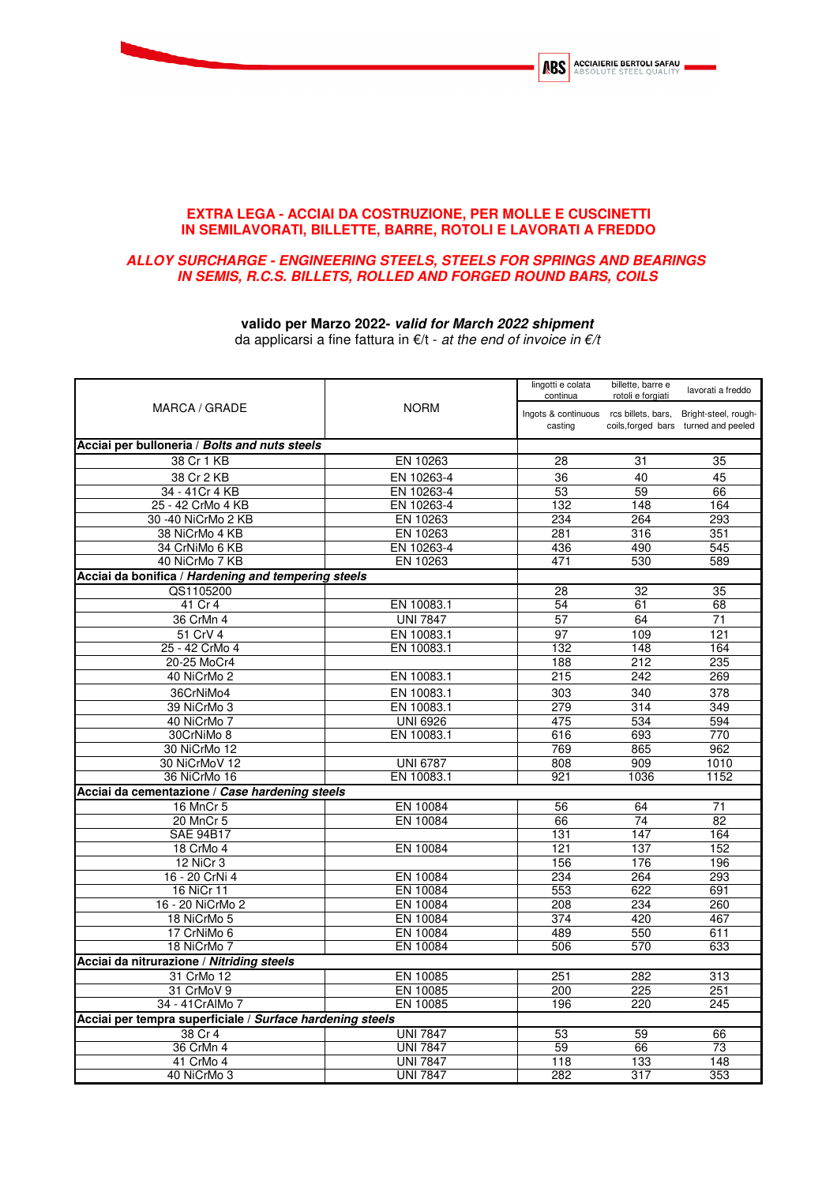

## **EXTRA LEGA - ACCIAI DA COSTRUZIONE, PER MOLLE E CUSCINETTI IN SEMILAVORATI, BILLETTE, BARRE, ROTOLI E LAVORATI A FREDDO**

## **ALLOY SURCHARGE - ENGINEERING STEELS, STEELS FOR SPRINGS AND BEARINGS IN SEMIS, R.C.S. BILLETS, ROLLED AND FORGED ROUND BARS, COILS**

## **valido per Marzo 2022- valid for March 2022 shipment**

da applicarsi a fine fattura in  $€/t$  - at the end of invoice in  $€/t$ 

| MARCA / GRADE                                             | lingotti e colata<br>continua<br><b>NORM</b><br>Ingots & continuous rcs billets, bars, Bright-steel, rough-<br>casting | billette, barre e<br>rotoli e forgiati | lavorati a freddo |                                      |
|-----------------------------------------------------------|------------------------------------------------------------------------------------------------------------------------|----------------------------------------|-------------------|--------------------------------------|
|                                                           |                                                                                                                        |                                        |                   | coils, forged bars turned and peeled |
| Acciai per bulloneria / Bolts and nuts steels             |                                                                                                                        |                                        |                   |                                      |
| 38 Cr 1 KB                                                | EN 10263                                                                                                               | 28                                     | 31                | 35                                   |
| 38 Cr 2 KB                                                | EN 10263-4                                                                                                             | 36                                     | 40                | 45                                   |
| 34 - 41 Cr 4 KB                                           | EN 10263-4                                                                                                             | 53                                     | 59                | 66                                   |
| 25 - 42 CrMo 4 KB                                         | EN 10263-4                                                                                                             | 132                                    | 148               | 164                                  |
| 30 -40 NiCrMo 2 KB                                        | EN 10263                                                                                                               | 234                                    | 264               | 293                                  |
| 38 NiCrMo 4 KB                                            | EN 10263                                                                                                               | 281                                    | 316               | 351                                  |
| 34 CrNiMo 6 KB                                            | EN 10263-4                                                                                                             | 436                                    | 490               | 545                                  |
| 40 NiCrMo 7 KB                                            | EN 10263                                                                                                               | 471                                    | 530               | 589                                  |
| Acciai da bonifica / Hardening and tempering steels       |                                                                                                                        |                                        |                   |                                      |
| QS1105200                                                 |                                                                                                                        | 28                                     | $\overline{32}$   | $\overline{35}$                      |
| 41 Cr 4                                                   | EN 10083.1                                                                                                             | 54                                     | 61                | 68                                   |
| 36 CrMn 4                                                 | <b>UNI 7847</b>                                                                                                        | $\overline{57}$                        | 64                | 71                                   |
| 51 CrV 4                                                  | EN 10083.1                                                                                                             | 97                                     | 109               | 121                                  |
| 25 - 42 CrMo 4                                            | EN 10083.1                                                                                                             | 132                                    | 148               | 164                                  |
| 20-25 MoCr4                                               |                                                                                                                        | 188                                    | 212               | 235                                  |
| 40 NiCrMo 2                                               | EN 10083.1                                                                                                             | 215                                    | 242               | 269                                  |
| 36CrNiMo4                                                 | EN 10083.1                                                                                                             | 303                                    | 340               | 378                                  |
| 39 NiCrMo 3                                               | EN 10083.1                                                                                                             | 279                                    | 314               | 349                                  |
| 40 NiCrMo 7                                               | <b>UNI 6926</b>                                                                                                        | 475                                    | 534               | 594                                  |
| 30CrNiMo 8                                                | EN 10083.1                                                                                                             | 616                                    | 693               | 770                                  |
| 30 NiCrMo 12                                              |                                                                                                                        | 769                                    | 865               | 962                                  |
| 30 NiCrMoV 12                                             | <b>UNI 6787</b>                                                                                                        | 808                                    | 909               | 1010                                 |
| 36 NiCrMo 16                                              | EN 10083.1                                                                                                             | 921                                    | 1036              | 1152                                 |
| Acciai da cementazione / Case hardening steels            |                                                                                                                        |                                        |                   |                                      |
| 16 MnCr 5                                                 | EN 10084                                                                                                               | 56                                     | 64                | 71                                   |
| 20 MnCr 5                                                 | EN 10084                                                                                                               | 66                                     | 74                | 82                                   |
| <b>SAE 94B17</b>                                          |                                                                                                                        | 131                                    | 147               | 164                                  |
| 18 CrMo 4                                                 | EN 10084                                                                                                               | 121                                    | 137               | 152                                  |
| 12 NiCr 3                                                 |                                                                                                                        | 156                                    | 176               | 196                                  |
| 16 - 20 CrNi 4                                            | EN 10084                                                                                                               | 234                                    | 264               | 293                                  |
| 16 NiCr 11                                                | EN 10084                                                                                                               | 553                                    | 622               | 691                                  |
| 16 - 20 NiCrMo 2                                          | EN 10084                                                                                                               | 208                                    | 234               | 260                                  |
| 18 NiCrMo 5                                               | EN 10084                                                                                                               | 374                                    | 420               | 467                                  |
| 17 CrNiMo 6                                               | EN 10084                                                                                                               | 489                                    | 550               | 611                                  |
| 18 NiCrMo 7                                               | EN 10084                                                                                                               | 506                                    | 570               | 633                                  |
| Acciai da nitrurazione / Nitriding steels                 |                                                                                                                        |                                        |                   |                                      |
| 31 CrMo 12                                                | EN 10085                                                                                                               | 251                                    | 282               | 313                                  |
| 31 CrMoV 9                                                | EN 10085                                                                                                               | 200                                    | 225               | 251                                  |
| 34 - 41 CrAlMo 7                                          | EN 10085                                                                                                               | 196                                    | 220               | 245                                  |
| Acciai per tempra superficiale / Surface hardening steels |                                                                                                                        |                                        |                   |                                      |
| 38 Cr 4                                                   | <b>UNI 7847</b>                                                                                                        | 53                                     | 59                | 66                                   |
| 36 CrMn 4                                                 | <b>UNI 7847</b>                                                                                                        | 59                                     | 66                | 73                                   |
| 41 CrMo 4                                                 | <b>UNI 7847</b>                                                                                                        | 118                                    | 133               | 148                                  |
| 40 NiCrMo 3                                               | <b>UNI 7847</b>                                                                                                        | 282                                    | 317               | 353                                  |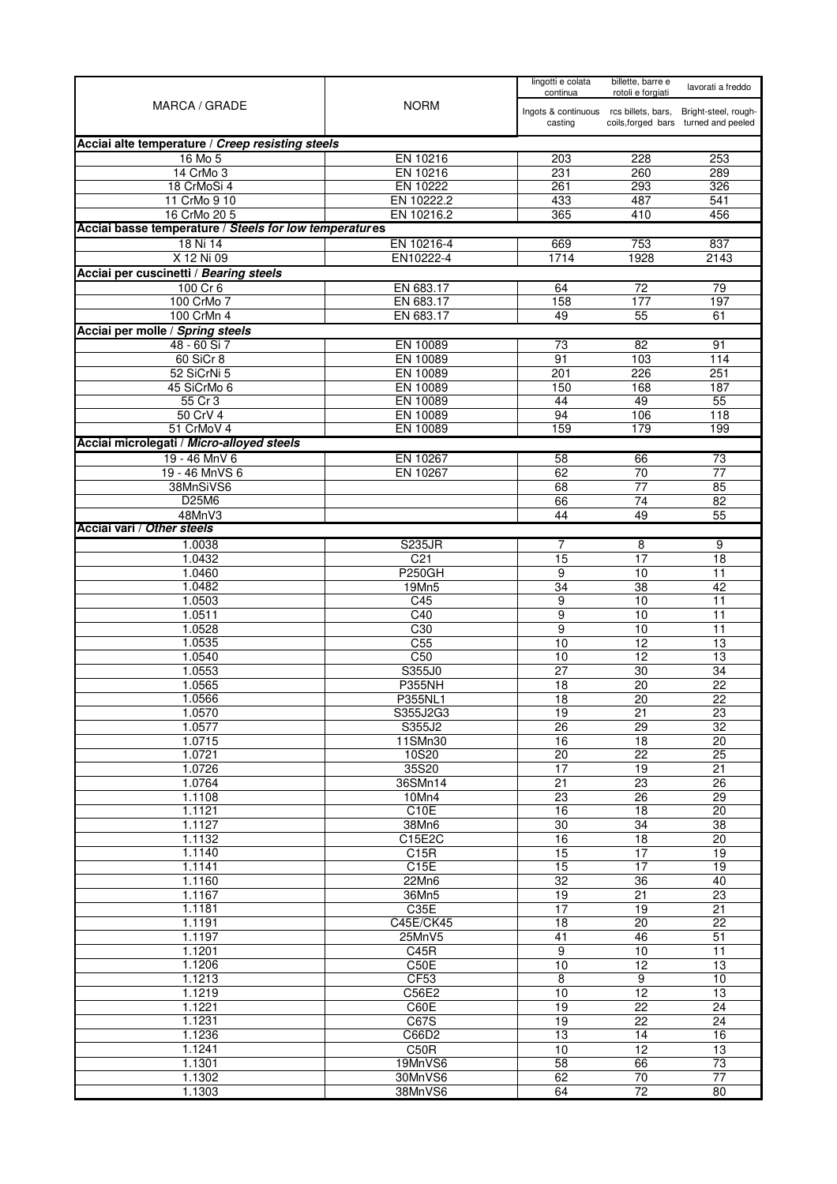| <b>NORM</b><br>MARCA / GRADE<br>Ingots & continuous rcs billets, bars,<br>Bright-steel, rough-<br>coils, forged bars turned and peeled<br>casting<br>Acciai alte temperature / Creep resisting steels<br>16 Mo 5<br>EN 10216<br>228<br>203<br>253<br>14 CrMo 3<br>EN 10216<br>231<br>260<br>289<br>18 CrMoSi 4<br>EN 10222<br>293<br>261<br>326<br>EN 10222.2<br>11 CrMo 9 10<br>433<br>487<br>541<br>EN 10216.2<br>16 CrMo 20 5<br>365<br>410<br>456<br>Acciai basse temperature / Steels for low temperatures<br>753<br>18 Ni 14<br>EN 10216-4<br>669<br>837<br>X 12 Ni 09<br>EN10222-4<br>1928<br>1714<br>2143<br>Acciai per cuscinetti / Bearing steels<br>$100$ Cr 6<br>EN 683.17<br>64<br>72<br>79<br>177<br>100 CrMo 7<br>EN 683.17<br>158<br>197<br>EN 683.17<br>100 CrMn 4<br>49<br>55<br>61<br>48 - 60 Si 7<br>EN 10089<br>82<br>73<br>91<br>60 SiCr 8<br>EN 10089<br>103<br>91<br>114<br>EN 10089<br>52 SiCrNi 5<br>226<br>251<br>201<br>EN 10089<br>45 SiCrMo 6<br>150<br>168<br>187<br>EN 10089<br>49<br>55 Cr 3<br>44<br>55<br>50 CrV 4<br>EN 10089<br>94<br>106<br>118<br>159<br>179<br>199<br>51 CrMoV 4<br>EN 10089<br>19 - 46 MnV 6<br>EN 10267<br>73<br>58<br>66<br>19 - 46 MnVS 6<br>EN 10267<br>62<br>70<br>77<br>38MnSiVS6<br>77<br>68<br>85<br>D25M6<br>74<br>82<br>66<br>48MnV3<br>44<br>49<br>55<br>1.0038<br><b>S235JR</b><br>9<br>7<br>8<br>C <sub>21</sub><br>1.0432<br>15<br>17<br>18<br><b>P250GH</b><br>10<br>1.0460<br>9<br>11<br>1.0482<br>$\overline{34}$<br>$\overline{38}$<br>19Mn5<br>42<br>1.0503<br>C45<br>9<br>10<br>11<br>1.0511<br>$\overline{C40}$<br>9<br>10<br>11<br>1.0528<br>C30<br>10<br>9<br>11<br>C <sub>55</sub><br>10<br>12<br>1.0535<br>13<br>C50<br>12<br>1.0540<br>10<br>13<br>S355J0<br>$\overline{30}$<br>1.0553<br>27<br>34<br>1.0565<br><b>P355NH</b><br>18<br>22<br>20<br>$\overline{22}$<br>1.0566<br>18<br>20<br>P355NL1<br>1.0570<br>S355J2G3<br>23<br>19<br>21<br>32<br>1.0577<br>26<br>29<br>S355J2<br>18<br>16<br>$\overline{20}$<br>1.0715<br>11SMn30<br>22<br>25<br>1.0721<br>10S20<br>20<br>35S20<br>1.0726<br>17<br>19<br>21<br>1.0764<br>23<br>36SMn14<br>$\overline{21}$<br>$\overline{26}$<br>$\overline{26}$<br>$\overline{29}$<br>1.1108<br>10Mn4<br>23<br>1.1121<br>C10E<br>16<br>18<br>20<br>1.1127<br>$\overline{30}$<br>$\overline{34}$<br>$\overline{38}$<br>38Mn6<br>$\overline{18}$<br>1.1132<br>C15E2C<br>16<br>20<br>1.1140<br>C15R<br>15<br>17<br>19<br>C15E<br>15<br>17<br>19<br>1.1141<br>1.1160<br>$\overline{32}$<br>$\overline{36}$<br>40<br>22Mn6<br>1.1167<br>19<br>21<br>23<br>36Mn5<br>19<br>1.1181<br>C35E<br>17<br>21<br>$\overline{20}$<br>$\overline{22}$<br>1.1191<br>C45E/CK45<br>18<br>1.1197<br>46<br>$\overline{51}$<br>25MnV5<br>41<br>$\overline{9}$<br>10<br>$\overline{11}$<br>1.1201<br>C45R<br>C50E<br>$\overline{12}$<br>13<br>1.1206<br>10<br>CF53<br>1.1213<br>$\overline{9}$<br>10<br>8<br>10<br>12<br>1.1219<br>C56E2<br>13<br>1.1221<br>$\overline{22}$<br>$\overline{24}$<br>C60E<br>19<br>22<br>1.1231<br>C67S<br>19<br>24<br>1.1236<br>$\overline{13}$<br>14<br>16<br>C66D2<br>$\overline{12}$<br>1.1241<br>C50R<br>10<br>13<br>1.1301<br>19MnVS6<br>58<br>66<br>73<br>62<br>70<br>$\overline{77}$<br>1.1302<br>30MnVS6<br>80<br>1.1303<br>38MnVS6<br>72<br>64 |                                           |  | lingotti e colata<br>continua | billette, barre e<br>rotoli e forgiati | lavorati a freddo |
|--------------------------------------------------------------------------------------------------------------------------------------------------------------------------------------------------------------------------------------------------------------------------------------------------------------------------------------------------------------------------------------------------------------------------------------------------------------------------------------------------------------------------------------------------------------------------------------------------------------------------------------------------------------------------------------------------------------------------------------------------------------------------------------------------------------------------------------------------------------------------------------------------------------------------------------------------------------------------------------------------------------------------------------------------------------------------------------------------------------------------------------------------------------------------------------------------------------------------------------------------------------------------------------------------------------------------------------------------------------------------------------------------------------------------------------------------------------------------------------------------------------------------------------------------------------------------------------------------------------------------------------------------------------------------------------------------------------------------------------------------------------------------------------------------------------------------------------------------------------------------------------------------------------------------------------------------------------------------------------------------------------------------------------------------------------------------------------------------------------------------------------------------------------------------------------------------------------------------------------------------------------------------------------------------------------------------------------------------------------------------------------------------------------------------------------------------------------------------------------------------------------------------------------------------------------------------------------------------------------------------------------------------------------------------------------------------------------------------------------------------------------------------------------------------------------------------------------------------------------------------------------------------------------------------------------------------------------------------------------------------------------------------------------------------------------------------------------------------------------------------------------------------------------------------------------------------------------------------------------------------------------------------------------|-------------------------------------------|--|-------------------------------|----------------------------------------|-------------------|
|                                                                                                                                                                                                                                                                                                                                                                                                                                                                                                                                                                                                                                                                                                                                                                                                                                                                                                                                                                                                                                                                                                                                                                                                                                                                                                                                                                                                                                                                                                                                                                                                                                                                                                                                                                                                                                                                                                                                                                                                                                                                                                                                                                                                                                                                                                                                                                                                                                                                                                                                                                                                                                                                                                                                                                                                                                                                                                                                                                                                                                                                                                                                                                                                                                                                                      |                                           |  |                               |                                        |                   |
|                                                                                                                                                                                                                                                                                                                                                                                                                                                                                                                                                                                                                                                                                                                                                                                                                                                                                                                                                                                                                                                                                                                                                                                                                                                                                                                                                                                                                                                                                                                                                                                                                                                                                                                                                                                                                                                                                                                                                                                                                                                                                                                                                                                                                                                                                                                                                                                                                                                                                                                                                                                                                                                                                                                                                                                                                                                                                                                                                                                                                                                                                                                                                                                                                                                                                      |                                           |  |                               |                                        |                   |
|                                                                                                                                                                                                                                                                                                                                                                                                                                                                                                                                                                                                                                                                                                                                                                                                                                                                                                                                                                                                                                                                                                                                                                                                                                                                                                                                                                                                                                                                                                                                                                                                                                                                                                                                                                                                                                                                                                                                                                                                                                                                                                                                                                                                                                                                                                                                                                                                                                                                                                                                                                                                                                                                                                                                                                                                                                                                                                                                                                                                                                                                                                                                                                                                                                                                                      |                                           |  |                               |                                        |                   |
|                                                                                                                                                                                                                                                                                                                                                                                                                                                                                                                                                                                                                                                                                                                                                                                                                                                                                                                                                                                                                                                                                                                                                                                                                                                                                                                                                                                                                                                                                                                                                                                                                                                                                                                                                                                                                                                                                                                                                                                                                                                                                                                                                                                                                                                                                                                                                                                                                                                                                                                                                                                                                                                                                                                                                                                                                                                                                                                                                                                                                                                                                                                                                                                                                                                                                      |                                           |  |                               |                                        |                   |
|                                                                                                                                                                                                                                                                                                                                                                                                                                                                                                                                                                                                                                                                                                                                                                                                                                                                                                                                                                                                                                                                                                                                                                                                                                                                                                                                                                                                                                                                                                                                                                                                                                                                                                                                                                                                                                                                                                                                                                                                                                                                                                                                                                                                                                                                                                                                                                                                                                                                                                                                                                                                                                                                                                                                                                                                                                                                                                                                                                                                                                                                                                                                                                                                                                                                                      |                                           |  |                               |                                        |                   |
|                                                                                                                                                                                                                                                                                                                                                                                                                                                                                                                                                                                                                                                                                                                                                                                                                                                                                                                                                                                                                                                                                                                                                                                                                                                                                                                                                                                                                                                                                                                                                                                                                                                                                                                                                                                                                                                                                                                                                                                                                                                                                                                                                                                                                                                                                                                                                                                                                                                                                                                                                                                                                                                                                                                                                                                                                                                                                                                                                                                                                                                                                                                                                                                                                                                                                      |                                           |  |                               |                                        |                   |
|                                                                                                                                                                                                                                                                                                                                                                                                                                                                                                                                                                                                                                                                                                                                                                                                                                                                                                                                                                                                                                                                                                                                                                                                                                                                                                                                                                                                                                                                                                                                                                                                                                                                                                                                                                                                                                                                                                                                                                                                                                                                                                                                                                                                                                                                                                                                                                                                                                                                                                                                                                                                                                                                                                                                                                                                                                                                                                                                                                                                                                                                                                                                                                                                                                                                                      |                                           |  |                               |                                        |                   |
|                                                                                                                                                                                                                                                                                                                                                                                                                                                                                                                                                                                                                                                                                                                                                                                                                                                                                                                                                                                                                                                                                                                                                                                                                                                                                                                                                                                                                                                                                                                                                                                                                                                                                                                                                                                                                                                                                                                                                                                                                                                                                                                                                                                                                                                                                                                                                                                                                                                                                                                                                                                                                                                                                                                                                                                                                                                                                                                                                                                                                                                                                                                                                                                                                                                                                      |                                           |  |                               |                                        |                   |
|                                                                                                                                                                                                                                                                                                                                                                                                                                                                                                                                                                                                                                                                                                                                                                                                                                                                                                                                                                                                                                                                                                                                                                                                                                                                                                                                                                                                                                                                                                                                                                                                                                                                                                                                                                                                                                                                                                                                                                                                                                                                                                                                                                                                                                                                                                                                                                                                                                                                                                                                                                                                                                                                                                                                                                                                                                                                                                                                                                                                                                                                                                                                                                                                                                                                                      |                                           |  |                               |                                        |                   |
|                                                                                                                                                                                                                                                                                                                                                                                                                                                                                                                                                                                                                                                                                                                                                                                                                                                                                                                                                                                                                                                                                                                                                                                                                                                                                                                                                                                                                                                                                                                                                                                                                                                                                                                                                                                                                                                                                                                                                                                                                                                                                                                                                                                                                                                                                                                                                                                                                                                                                                                                                                                                                                                                                                                                                                                                                                                                                                                                                                                                                                                                                                                                                                                                                                                                                      |                                           |  |                               |                                        |                   |
|                                                                                                                                                                                                                                                                                                                                                                                                                                                                                                                                                                                                                                                                                                                                                                                                                                                                                                                                                                                                                                                                                                                                                                                                                                                                                                                                                                                                                                                                                                                                                                                                                                                                                                                                                                                                                                                                                                                                                                                                                                                                                                                                                                                                                                                                                                                                                                                                                                                                                                                                                                                                                                                                                                                                                                                                                                                                                                                                                                                                                                                                                                                                                                                                                                                                                      |                                           |  |                               |                                        |                   |
|                                                                                                                                                                                                                                                                                                                                                                                                                                                                                                                                                                                                                                                                                                                                                                                                                                                                                                                                                                                                                                                                                                                                                                                                                                                                                                                                                                                                                                                                                                                                                                                                                                                                                                                                                                                                                                                                                                                                                                                                                                                                                                                                                                                                                                                                                                                                                                                                                                                                                                                                                                                                                                                                                                                                                                                                                                                                                                                                                                                                                                                                                                                                                                                                                                                                                      |                                           |  |                               |                                        |                   |
|                                                                                                                                                                                                                                                                                                                                                                                                                                                                                                                                                                                                                                                                                                                                                                                                                                                                                                                                                                                                                                                                                                                                                                                                                                                                                                                                                                                                                                                                                                                                                                                                                                                                                                                                                                                                                                                                                                                                                                                                                                                                                                                                                                                                                                                                                                                                                                                                                                                                                                                                                                                                                                                                                                                                                                                                                                                                                                                                                                                                                                                                                                                                                                                                                                                                                      |                                           |  |                               |                                        |                   |
|                                                                                                                                                                                                                                                                                                                                                                                                                                                                                                                                                                                                                                                                                                                                                                                                                                                                                                                                                                                                                                                                                                                                                                                                                                                                                                                                                                                                                                                                                                                                                                                                                                                                                                                                                                                                                                                                                                                                                                                                                                                                                                                                                                                                                                                                                                                                                                                                                                                                                                                                                                                                                                                                                                                                                                                                                                                                                                                                                                                                                                                                                                                                                                                                                                                                                      | Acciai per molle / Spring steels          |  |                               |                                        |                   |
|                                                                                                                                                                                                                                                                                                                                                                                                                                                                                                                                                                                                                                                                                                                                                                                                                                                                                                                                                                                                                                                                                                                                                                                                                                                                                                                                                                                                                                                                                                                                                                                                                                                                                                                                                                                                                                                                                                                                                                                                                                                                                                                                                                                                                                                                                                                                                                                                                                                                                                                                                                                                                                                                                                                                                                                                                                                                                                                                                                                                                                                                                                                                                                                                                                                                                      |                                           |  |                               |                                        |                   |
|                                                                                                                                                                                                                                                                                                                                                                                                                                                                                                                                                                                                                                                                                                                                                                                                                                                                                                                                                                                                                                                                                                                                                                                                                                                                                                                                                                                                                                                                                                                                                                                                                                                                                                                                                                                                                                                                                                                                                                                                                                                                                                                                                                                                                                                                                                                                                                                                                                                                                                                                                                                                                                                                                                                                                                                                                                                                                                                                                                                                                                                                                                                                                                                                                                                                                      |                                           |  |                               |                                        |                   |
|                                                                                                                                                                                                                                                                                                                                                                                                                                                                                                                                                                                                                                                                                                                                                                                                                                                                                                                                                                                                                                                                                                                                                                                                                                                                                                                                                                                                                                                                                                                                                                                                                                                                                                                                                                                                                                                                                                                                                                                                                                                                                                                                                                                                                                                                                                                                                                                                                                                                                                                                                                                                                                                                                                                                                                                                                                                                                                                                                                                                                                                                                                                                                                                                                                                                                      |                                           |  |                               |                                        |                   |
|                                                                                                                                                                                                                                                                                                                                                                                                                                                                                                                                                                                                                                                                                                                                                                                                                                                                                                                                                                                                                                                                                                                                                                                                                                                                                                                                                                                                                                                                                                                                                                                                                                                                                                                                                                                                                                                                                                                                                                                                                                                                                                                                                                                                                                                                                                                                                                                                                                                                                                                                                                                                                                                                                                                                                                                                                                                                                                                                                                                                                                                                                                                                                                                                                                                                                      |                                           |  |                               |                                        |                   |
|                                                                                                                                                                                                                                                                                                                                                                                                                                                                                                                                                                                                                                                                                                                                                                                                                                                                                                                                                                                                                                                                                                                                                                                                                                                                                                                                                                                                                                                                                                                                                                                                                                                                                                                                                                                                                                                                                                                                                                                                                                                                                                                                                                                                                                                                                                                                                                                                                                                                                                                                                                                                                                                                                                                                                                                                                                                                                                                                                                                                                                                                                                                                                                                                                                                                                      |                                           |  |                               |                                        |                   |
|                                                                                                                                                                                                                                                                                                                                                                                                                                                                                                                                                                                                                                                                                                                                                                                                                                                                                                                                                                                                                                                                                                                                                                                                                                                                                                                                                                                                                                                                                                                                                                                                                                                                                                                                                                                                                                                                                                                                                                                                                                                                                                                                                                                                                                                                                                                                                                                                                                                                                                                                                                                                                                                                                                                                                                                                                                                                                                                                                                                                                                                                                                                                                                                                                                                                                      |                                           |  |                               |                                        |                   |
|                                                                                                                                                                                                                                                                                                                                                                                                                                                                                                                                                                                                                                                                                                                                                                                                                                                                                                                                                                                                                                                                                                                                                                                                                                                                                                                                                                                                                                                                                                                                                                                                                                                                                                                                                                                                                                                                                                                                                                                                                                                                                                                                                                                                                                                                                                                                                                                                                                                                                                                                                                                                                                                                                                                                                                                                                                                                                                                                                                                                                                                                                                                                                                                                                                                                                      | Acciai microlegati / Micro-alloyed steels |  |                               |                                        |                   |
|                                                                                                                                                                                                                                                                                                                                                                                                                                                                                                                                                                                                                                                                                                                                                                                                                                                                                                                                                                                                                                                                                                                                                                                                                                                                                                                                                                                                                                                                                                                                                                                                                                                                                                                                                                                                                                                                                                                                                                                                                                                                                                                                                                                                                                                                                                                                                                                                                                                                                                                                                                                                                                                                                                                                                                                                                                                                                                                                                                                                                                                                                                                                                                                                                                                                                      |                                           |  |                               |                                        |                   |
|                                                                                                                                                                                                                                                                                                                                                                                                                                                                                                                                                                                                                                                                                                                                                                                                                                                                                                                                                                                                                                                                                                                                                                                                                                                                                                                                                                                                                                                                                                                                                                                                                                                                                                                                                                                                                                                                                                                                                                                                                                                                                                                                                                                                                                                                                                                                                                                                                                                                                                                                                                                                                                                                                                                                                                                                                                                                                                                                                                                                                                                                                                                                                                                                                                                                                      |                                           |  |                               |                                        |                   |
|                                                                                                                                                                                                                                                                                                                                                                                                                                                                                                                                                                                                                                                                                                                                                                                                                                                                                                                                                                                                                                                                                                                                                                                                                                                                                                                                                                                                                                                                                                                                                                                                                                                                                                                                                                                                                                                                                                                                                                                                                                                                                                                                                                                                                                                                                                                                                                                                                                                                                                                                                                                                                                                                                                                                                                                                                                                                                                                                                                                                                                                                                                                                                                                                                                                                                      |                                           |  |                               |                                        |                   |
|                                                                                                                                                                                                                                                                                                                                                                                                                                                                                                                                                                                                                                                                                                                                                                                                                                                                                                                                                                                                                                                                                                                                                                                                                                                                                                                                                                                                                                                                                                                                                                                                                                                                                                                                                                                                                                                                                                                                                                                                                                                                                                                                                                                                                                                                                                                                                                                                                                                                                                                                                                                                                                                                                                                                                                                                                                                                                                                                                                                                                                                                                                                                                                                                                                                                                      |                                           |  |                               |                                        |                   |
|                                                                                                                                                                                                                                                                                                                                                                                                                                                                                                                                                                                                                                                                                                                                                                                                                                                                                                                                                                                                                                                                                                                                                                                                                                                                                                                                                                                                                                                                                                                                                                                                                                                                                                                                                                                                                                                                                                                                                                                                                                                                                                                                                                                                                                                                                                                                                                                                                                                                                                                                                                                                                                                                                                                                                                                                                                                                                                                                                                                                                                                                                                                                                                                                                                                                                      | Acciai vari / Other steels                |  |                               |                                        |                   |
|                                                                                                                                                                                                                                                                                                                                                                                                                                                                                                                                                                                                                                                                                                                                                                                                                                                                                                                                                                                                                                                                                                                                                                                                                                                                                                                                                                                                                                                                                                                                                                                                                                                                                                                                                                                                                                                                                                                                                                                                                                                                                                                                                                                                                                                                                                                                                                                                                                                                                                                                                                                                                                                                                                                                                                                                                                                                                                                                                                                                                                                                                                                                                                                                                                                                                      |                                           |  |                               |                                        |                   |
|                                                                                                                                                                                                                                                                                                                                                                                                                                                                                                                                                                                                                                                                                                                                                                                                                                                                                                                                                                                                                                                                                                                                                                                                                                                                                                                                                                                                                                                                                                                                                                                                                                                                                                                                                                                                                                                                                                                                                                                                                                                                                                                                                                                                                                                                                                                                                                                                                                                                                                                                                                                                                                                                                                                                                                                                                                                                                                                                                                                                                                                                                                                                                                                                                                                                                      |                                           |  |                               |                                        |                   |
|                                                                                                                                                                                                                                                                                                                                                                                                                                                                                                                                                                                                                                                                                                                                                                                                                                                                                                                                                                                                                                                                                                                                                                                                                                                                                                                                                                                                                                                                                                                                                                                                                                                                                                                                                                                                                                                                                                                                                                                                                                                                                                                                                                                                                                                                                                                                                                                                                                                                                                                                                                                                                                                                                                                                                                                                                                                                                                                                                                                                                                                                                                                                                                                                                                                                                      |                                           |  |                               |                                        |                   |
|                                                                                                                                                                                                                                                                                                                                                                                                                                                                                                                                                                                                                                                                                                                                                                                                                                                                                                                                                                                                                                                                                                                                                                                                                                                                                                                                                                                                                                                                                                                                                                                                                                                                                                                                                                                                                                                                                                                                                                                                                                                                                                                                                                                                                                                                                                                                                                                                                                                                                                                                                                                                                                                                                                                                                                                                                                                                                                                                                                                                                                                                                                                                                                                                                                                                                      |                                           |  |                               |                                        |                   |
|                                                                                                                                                                                                                                                                                                                                                                                                                                                                                                                                                                                                                                                                                                                                                                                                                                                                                                                                                                                                                                                                                                                                                                                                                                                                                                                                                                                                                                                                                                                                                                                                                                                                                                                                                                                                                                                                                                                                                                                                                                                                                                                                                                                                                                                                                                                                                                                                                                                                                                                                                                                                                                                                                                                                                                                                                                                                                                                                                                                                                                                                                                                                                                                                                                                                                      |                                           |  |                               |                                        |                   |
|                                                                                                                                                                                                                                                                                                                                                                                                                                                                                                                                                                                                                                                                                                                                                                                                                                                                                                                                                                                                                                                                                                                                                                                                                                                                                                                                                                                                                                                                                                                                                                                                                                                                                                                                                                                                                                                                                                                                                                                                                                                                                                                                                                                                                                                                                                                                                                                                                                                                                                                                                                                                                                                                                                                                                                                                                                                                                                                                                                                                                                                                                                                                                                                                                                                                                      |                                           |  |                               |                                        |                   |
|                                                                                                                                                                                                                                                                                                                                                                                                                                                                                                                                                                                                                                                                                                                                                                                                                                                                                                                                                                                                                                                                                                                                                                                                                                                                                                                                                                                                                                                                                                                                                                                                                                                                                                                                                                                                                                                                                                                                                                                                                                                                                                                                                                                                                                                                                                                                                                                                                                                                                                                                                                                                                                                                                                                                                                                                                                                                                                                                                                                                                                                                                                                                                                                                                                                                                      |                                           |  |                               |                                        |                   |
|                                                                                                                                                                                                                                                                                                                                                                                                                                                                                                                                                                                                                                                                                                                                                                                                                                                                                                                                                                                                                                                                                                                                                                                                                                                                                                                                                                                                                                                                                                                                                                                                                                                                                                                                                                                                                                                                                                                                                                                                                                                                                                                                                                                                                                                                                                                                                                                                                                                                                                                                                                                                                                                                                                                                                                                                                                                                                                                                                                                                                                                                                                                                                                                                                                                                                      |                                           |  |                               |                                        |                   |
|                                                                                                                                                                                                                                                                                                                                                                                                                                                                                                                                                                                                                                                                                                                                                                                                                                                                                                                                                                                                                                                                                                                                                                                                                                                                                                                                                                                                                                                                                                                                                                                                                                                                                                                                                                                                                                                                                                                                                                                                                                                                                                                                                                                                                                                                                                                                                                                                                                                                                                                                                                                                                                                                                                                                                                                                                                                                                                                                                                                                                                                                                                                                                                                                                                                                                      |                                           |  |                               |                                        |                   |
|                                                                                                                                                                                                                                                                                                                                                                                                                                                                                                                                                                                                                                                                                                                                                                                                                                                                                                                                                                                                                                                                                                                                                                                                                                                                                                                                                                                                                                                                                                                                                                                                                                                                                                                                                                                                                                                                                                                                                                                                                                                                                                                                                                                                                                                                                                                                                                                                                                                                                                                                                                                                                                                                                                                                                                                                                                                                                                                                                                                                                                                                                                                                                                                                                                                                                      |                                           |  |                               |                                        |                   |
|                                                                                                                                                                                                                                                                                                                                                                                                                                                                                                                                                                                                                                                                                                                                                                                                                                                                                                                                                                                                                                                                                                                                                                                                                                                                                                                                                                                                                                                                                                                                                                                                                                                                                                                                                                                                                                                                                                                                                                                                                                                                                                                                                                                                                                                                                                                                                                                                                                                                                                                                                                                                                                                                                                                                                                                                                                                                                                                                                                                                                                                                                                                                                                                                                                                                                      |                                           |  |                               |                                        |                   |
|                                                                                                                                                                                                                                                                                                                                                                                                                                                                                                                                                                                                                                                                                                                                                                                                                                                                                                                                                                                                                                                                                                                                                                                                                                                                                                                                                                                                                                                                                                                                                                                                                                                                                                                                                                                                                                                                                                                                                                                                                                                                                                                                                                                                                                                                                                                                                                                                                                                                                                                                                                                                                                                                                                                                                                                                                                                                                                                                                                                                                                                                                                                                                                                                                                                                                      |                                           |  |                               |                                        |                   |
|                                                                                                                                                                                                                                                                                                                                                                                                                                                                                                                                                                                                                                                                                                                                                                                                                                                                                                                                                                                                                                                                                                                                                                                                                                                                                                                                                                                                                                                                                                                                                                                                                                                                                                                                                                                                                                                                                                                                                                                                                                                                                                                                                                                                                                                                                                                                                                                                                                                                                                                                                                                                                                                                                                                                                                                                                                                                                                                                                                                                                                                                                                                                                                                                                                                                                      |                                           |  |                               |                                        |                   |
|                                                                                                                                                                                                                                                                                                                                                                                                                                                                                                                                                                                                                                                                                                                                                                                                                                                                                                                                                                                                                                                                                                                                                                                                                                                                                                                                                                                                                                                                                                                                                                                                                                                                                                                                                                                                                                                                                                                                                                                                                                                                                                                                                                                                                                                                                                                                                                                                                                                                                                                                                                                                                                                                                                                                                                                                                                                                                                                                                                                                                                                                                                                                                                                                                                                                                      |                                           |  |                               |                                        |                   |
|                                                                                                                                                                                                                                                                                                                                                                                                                                                                                                                                                                                                                                                                                                                                                                                                                                                                                                                                                                                                                                                                                                                                                                                                                                                                                                                                                                                                                                                                                                                                                                                                                                                                                                                                                                                                                                                                                                                                                                                                                                                                                                                                                                                                                                                                                                                                                                                                                                                                                                                                                                                                                                                                                                                                                                                                                                                                                                                                                                                                                                                                                                                                                                                                                                                                                      |                                           |  |                               |                                        |                   |
|                                                                                                                                                                                                                                                                                                                                                                                                                                                                                                                                                                                                                                                                                                                                                                                                                                                                                                                                                                                                                                                                                                                                                                                                                                                                                                                                                                                                                                                                                                                                                                                                                                                                                                                                                                                                                                                                                                                                                                                                                                                                                                                                                                                                                                                                                                                                                                                                                                                                                                                                                                                                                                                                                                                                                                                                                                                                                                                                                                                                                                                                                                                                                                                                                                                                                      |                                           |  |                               |                                        |                   |
|                                                                                                                                                                                                                                                                                                                                                                                                                                                                                                                                                                                                                                                                                                                                                                                                                                                                                                                                                                                                                                                                                                                                                                                                                                                                                                                                                                                                                                                                                                                                                                                                                                                                                                                                                                                                                                                                                                                                                                                                                                                                                                                                                                                                                                                                                                                                                                                                                                                                                                                                                                                                                                                                                                                                                                                                                                                                                                                                                                                                                                                                                                                                                                                                                                                                                      |                                           |  |                               |                                        |                   |
|                                                                                                                                                                                                                                                                                                                                                                                                                                                                                                                                                                                                                                                                                                                                                                                                                                                                                                                                                                                                                                                                                                                                                                                                                                                                                                                                                                                                                                                                                                                                                                                                                                                                                                                                                                                                                                                                                                                                                                                                                                                                                                                                                                                                                                                                                                                                                                                                                                                                                                                                                                                                                                                                                                                                                                                                                                                                                                                                                                                                                                                                                                                                                                                                                                                                                      |                                           |  |                               |                                        |                   |
|                                                                                                                                                                                                                                                                                                                                                                                                                                                                                                                                                                                                                                                                                                                                                                                                                                                                                                                                                                                                                                                                                                                                                                                                                                                                                                                                                                                                                                                                                                                                                                                                                                                                                                                                                                                                                                                                                                                                                                                                                                                                                                                                                                                                                                                                                                                                                                                                                                                                                                                                                                                                                                                                                                                                                                                                                                                                                                                                                                                                                                                                                                                                                                                                                                                                                      |                                           |  |                               |                                        |                   |
|                                                                                                                                                                                                                                                                                                                                                                                                                                                                                                                                                                                                                                                                                                                                                                                                                                                                                                                                                                                                                                                                                                                                                                                                                                                                                                                                                                                                                                                                                                                                                                                                                                                                                                                                                                                                                                                                                                                                                                                                                                                                                                                                                                                                                                                                                                                                                                                                                                                                                                                                                                                                                                                                                                                                                                                                                                                                                                                                                                                                                                                                                                                                                                                                                                                                                      |                                           |  |                               |                                        |                   |
|                                                                                                                                                                                                                                                                                                                                                                                                                                                                                                                                                                                                                                                                                                                                                                                                                                                                                                                                                                                                                                                                                                                                                                                                                                                                                                                                                                                                                                                                                                                                                                                                                                                                                                                                                                                                                                                                                                                                                                                                                                                                                                                                                                                                                                                                                                                                                                                                                                                                                                                                                                                                                                                                                                                                                                                                                                                                                                                                                                                                                                                                                                                                                                                                                                                                                      |                                           |  |                               |                                        |                   |
|                                                                                                                                                                                                                                                                                                                                                                                                                                                                                                                                                                                                                                                                                                                                                                                                                                                                                                                                                                                                                                                                                                                                                                                                                                                                                                                                                                                                                                                                                                                                                                                                                                                                                                                                                                                                                                                                                                                                                                                                                                                                                                                                                                                                                                                                                                                                                                                                                                                                                                                                                                                                                                                                                                                                                                                                                                                                                                                                                                                                                                                                                                                                                                                                                                                                                      |                                           |  |                               |                                        |                   |
|                                                                                                                                                                                                                                                                                                                                                                                                                                                                                                                                                                                                                                                                                                                                                                                                                                                                                                                                                                                                                                                                                                                                                                                                                                                                                                                                                                                                                                                                                                                                                                                                                                                                                                                                                                                                                                                                                                                                                                                                                                                                                                                                                                                                                                                                                                                                                                                                                                                                                                                                                                                                                                                                                                                                                                                                                                                                                                                                                                                                                                                                                                                                                                                                                                                                                      |                                           |  |                               |                                        |                   |
|                                                                                                                                                                                                                                                                                                                                                                                                                                                                                                                                                                                                                                                                                                                                                                                                                                                                                                                                                                                                                                                                                                                                                                                                                                                                                                                                                                                                                                                                                                                                                                                                                                                                                                                                                                                                                                                                                                                                                                                                                                                                                                                                                                                                                                                                                                                                                                                                                                                                                                                                                                                                                                                                                                                                                                                                                                                                                                                                                                                                                                                                                                                                                                                                                                                                                      |                                           |  |                               |                                        |                   |
|                                                                                                                                                                                                                                                                                                                                                                                                                                                                                                                                                                                                                                                                                                                                                                                                                                                                                                                                                                                                                                                                                                                                                                                                                                                                                                                                                                                                                                                                                                                                                                                                                                                                                                                                                                                                                                                                                                                                                                                                                                                                                                                                                                                                                                                                                                                                                                                                                                                                                                                                                                                                                                                                                                                                                                                                                                                                                                                                                                                                                                                                                                                                                                                                                                                                                      |                                           |  |                               |                                        |                   |
|                                                                                                                                                                                                                                                                                                                                                                                                                                                                                                                                                                                                                                                                                                                                                                                                                                                                                                                                                                                                                                                                                                                                                                                                                                                                                                                                                                                                                                                                                                                                                                                                                                                                                                                                                                                                                                                                                                                                                                                                                                                                                                                                                                                                                                                                                                                                                                                                                                                                                                                                                                                                                                                                                                                                                                                                                                                                                                                                                                                                                                                                                                                                                                                                                                                                                      |                                           |  |                               |                                        |                   |
|                                                                                                                                                                                                                                                                                                                                                                                                                                                                                                                                                                                                                                                                                                                                                                                                                                                                                                                                                                                                                                                                                                                                                                                                                                                                                                                                                                                                                                                                                                                                                                                                                                                                                                                                                                                                                                                                                                                                                                                                                                                                                                                                                                                                                                                                                                                                                                                                                                                                                                                                                                                                                                                                                                                                                                                                                                                                                                                                                                                                                                                                                                                                                                                                                                                                                      |                                           |  |                               |                                        |                   |
|                                                                                                                                                                                                                                                                                                                                                                                                                                                                                                                                                                                                                                                                                                                                                                                                                                                                                                                                                                                                                                                                                                                                                                                                                                                                                                                                                                                                                                                                                                                                                                                                                                                                                                                                                                                                                                                                                                                                                                                                                                                                                                                                                                                                                                                                                                                                                                                                                                                                                                                                                                                                                                                                                                                                                                                                                                                                                                                                                                                                                                                                                                                                                                                                                                                                                      |                                           |  |                               |                                        |                   |
|                                                                                                                                                                                                                                                                                                                                                                                                                                                                                                                                                                                                                                                                                                                                                                                                                                                                                                                                                                                                                                                                                                                                                                                                                                                                                                                                                                                                                                                                                                                                                                                                                                                                                                                                                                                                                                                                                                                                                                                                                                                                                                                                                                                                                                                                                                                                                                                                                                                                                                                                                                                                                                                                                                                                                                                                                                                                                                                                                                                                                                                                                                                                                                                                                                                                                      |                                           |  |                               |                                        |                   |
|                                                                                                                                                                                                                                                                                                                                                                                                                                                                                                                                                                                                                                                                                                                                                                                                                                                                                                                                                                                                                                                                                                                                                                                                                                                                                                                                                                                                                                                                                                                                                                                                                                                                                                                                                                                                                                                                                                                                                                                                                                                                                                                                                                                                                                                                                                                                                                                                                                                                                                                                                                                                                                                                                                                                                                                                                                                                                                                                                                                                                                                                                                                                                                                                                                                                                      |                                           |  |                               |                                        |                   |
|                                                                                                                                                                                                                                                                                                                                                                                                                                                                                                                                                                                                                                                                                                                                                                                                                                                                                                                                                                                                                                                                                                                                                                                                                                                                                                                                                                                                                                                                                                                                                                                                                                                                                                                                                                                                                                                                                                                                                                                                                                                                                                                                                                                                                                                                                                                                                                                                                                                                                                                                                                                                                                                                                                                                                                                                                                                                                                                                                                                                                                                                                                                                                                                                                                                                                      |                                           |  |                               |                                        |                   |
|                                                                                                                                                                                                                                                                                                                                                                                                                                                                                                                                                                                                                                                                                                                                                                                                                                                                                                                                                                                                                                                                                                                                                                                                                                                                                                                                                                                                                                                                                                                                                                                                                                                                                                                                                                                                                                                                                                                                                                                                                                                                                                                                                                                                                                                                                                                                                                                                                                                                                                                                                                                                                                                                                                                                                                                                                                                                                                                                                                                                                                                                                                                                                                                                                                                                                      |                                           |  |                               |                                        |                   |
|                                                                                                                                                                                                                                                                                                                                                                                                                                                                                                                                                                                                                                                                                                                                                                                                                                                                                                                                                                                                                                                                                                                                                                                                                                                                                                                                                                                                                                                                                                                                                                                                                                                                                                                                                                                                                                                                                                                                                                                                                                                                                                                                                                                                                                                                                                                                                                                                                                                                                                                                                                                                                                                                                                                                                                                                                                                                                                                                                                                                                                                                                                                                                                                                                                                                                      |                                           |  |                               |                                        |                   |
|                                                                                                                                                                                                                                                                                                                                                                                                                                                                                                                                                                                                                                                                                                                                                                                                                                                                                                                                                                                                                                                                                                                                                                                                                                                                                                                                                                                                                                                                                                                                                                                                                                                                                                                                                                                                                                                                                                                                                                                                                                                                                                                                                                                                                                                                                                                                                                                                                                                                                                                                                                                                                                                                                                                                                                                                                                                                                                                                                                                                                                                                                                                                                                                                                                                                                      |                                           |  |                               |                                        |                   |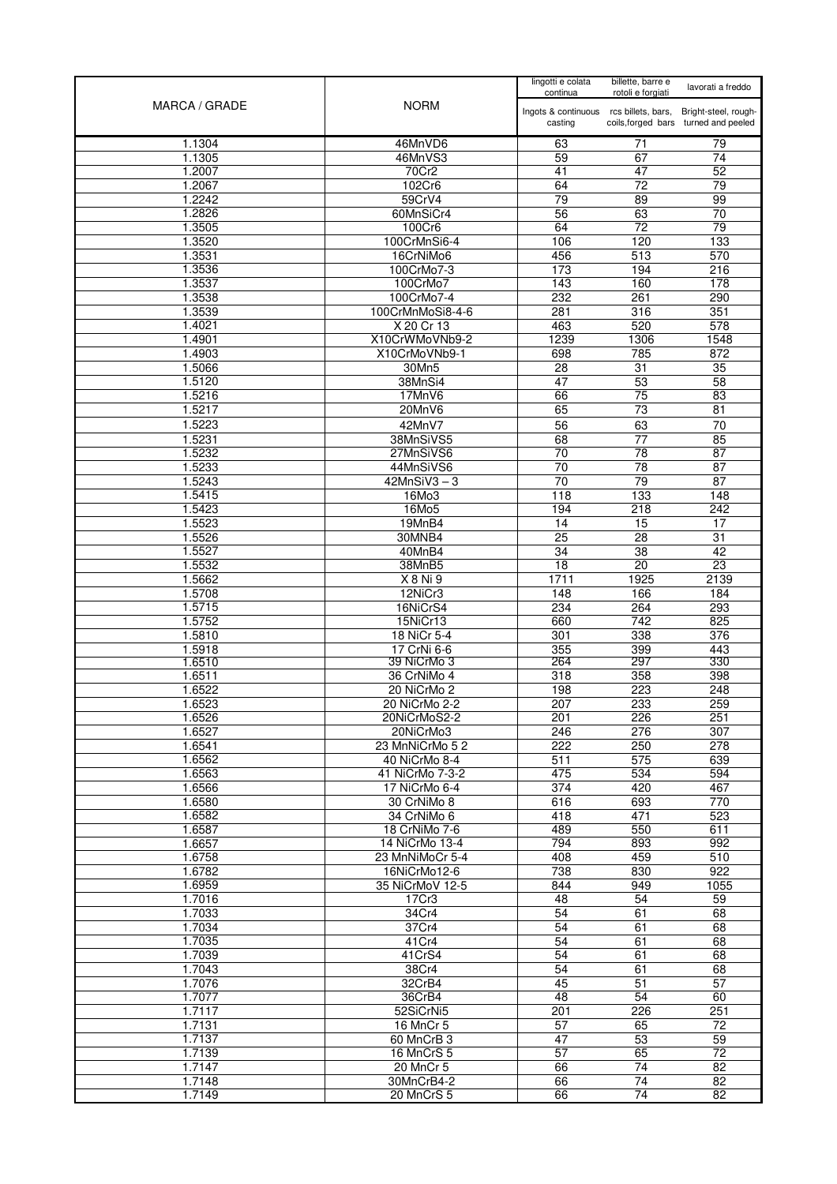|                  |                                 | lingotti e colata<br>continua          | billette, barre e<br>rotoli e forgiati | lavorati a freddo                    |
|------------------|---------------------------------|----------------------------------------|----------------------------------------|--------------------------------------|
| MARCA / GRADE    | <b>NORM</b>                     | Ingots & continuous rcs billets, bars, |                                        | Bright-steel, rough-                 |
|                  |                                 | casting                                |                                        | coils, forged bars turned and peeled |
| 1.1304           | 46MnVD6                         | 63                                     | 71                                     | 79                                   |
| 1.1305           | 46MnVS3                         | 59                                     | 67                                     | 74<br>52                             |
| 1.2007<br>1.2067 | 70Cr2<br>102Cr6                 | 41<br>64                               | 47<br>72                               | 79                                   |
| 1.2242           | 59CrV4                          | 79                                     | 89                                     | 99                                   |
| 1.2826           | 60MnSiCr4                       | 56                                     | 63                                     | 70                                   |
| 1.3505           | 100Cr6                          | 64                                     | $\overline{72}$                        | 79                                   |
| 1.3520           | 100CrMnSi6-4                    | 106                                    | 120                                    | 133                                  |
| 1.3531           | 16CrNiMo6                       | 456                                    | 513                                    | 570                                  |
| 1.3536           | 100CrMo7-3                      | 173                                    | 194                                    | 216                                  |
| 1.3537           | 100CrMo7                        | 143                                    | 160                                    | 178                                  |
| 1.3538           | 100CrMo7-4                      | 232                                    | 261                                    | 290                                  |
| 1.3539<br>1.4021 | 100CrMnMoSi8-4-6<br>X 20 Cr 13  | 281<br>463                             | 316<br>520                             | 351<br>578                           |
| 1.4901           | X10CrWMoVNb9-2                  | 1239                                   | 1306                                   | 1548                                 |
| 1.4903           | X10CrMoVNb9-1                   | 698                                    | 785                                    | 872                                  |
| 1.5066           | 30Mn5                           | 28                                     | $\overline{31}$                        | 35                                   |
| 1.5120           | 38MnSi4                         | 47                                     | 53                                     | 58                                   |
| 1.5216           | 17MnV6                          | 66                                     | 75                                     | $\overline{83}$                      |
| 1.5217           | 20MnV6                          | 65                                     | $\overline{73}$                        | $\overline{81}$                      |
| 1.5223           | 42MnV7                          | 56                                     | 63                                     | 70                                   |
| 1.5231           | 38MnSiVS5                       | 68                                     | 77                                     | 85                                   |
| 1.5232           | 27MnSiVS6                       | 70                                     | 78                                     | 87                                   |
| 1.5233           | 44MnSiVS6                       | 70                                     | 78                                     | 87                                   |
| 1.5243<br>1.5415 | $42MnSiV3-3$<br>16Mo3           | $\overline{70}$<br>118                 | $\overline{79}$<br>133                 | 87<br>148                            |
| 1.5423           | 16Mo5                           | 194                                    | 218                                    | 242                                  |
| 1.5523           | 19MnB4                          | 14                                     | 15                                     | 17                                   |
| 1.5526           | 30MNB4                          | $\overline{25}$                        | $\overline{28}$                        | $\overline{31}$                      |
| 1.5527           | 40MnB4                          | 34                                     | $\overline{38}$                        | 42                                   |
| 1.5532           | 38MnB5                          | $\overline{18}$                        | $\overline{20}$                        | 23                                   |
| 1.5662           | X 8 Ni 9                        | 1711                                   | 1925                                   | 2139                                 |
| 1.5708           | $\overline{12N}$ iCr3           | 148                                    | 166                                    | 184                                  |
| 1.5715           | 16NiCrS4                        | 234                                    | 264                                    | 293                                  |
| 1.5752<br>1.5810 | 15NiCr13                        | 660                                    | 742<br>338                             | 825<br>376                           |
| 1.5918           | 18 NiCr 5-4<br>17 CrNi 6-6      | 301<br>355                             | 399                                    | 443                                  |
| 1.6510           | 39 NiCrMo 3                     | 264                                    | 297                                    | 330                                  |
| 1.6511           | 36 CrNiMo 4                     | 318                                    | 358                                    | 398                                  |
| 1.6522           | 20 NiCrMo 2                     | 198                                    | 223                                    | 248                                  |
| 1.6523           | 20 NiCrMo 2-2                   | 207                                    | 233                                    | 259                                  |
| 1.6526           | 20NiCrMoS2-2                    | 201                                    | 226                                    | 251                                  |
| 1.6527<br>1.6541 | 20NiCrMo3<br>23 MnNiCrMo 52     | 246<br>222                             | 276<br>250                             | 307<br>278                           |
| 1.6562           | 40 NiCrMo 8-4                   | 511                                    | 575                                    | 639                                  |
| 1.6563           | 41 NiCrMo 7-3-2                 | 475                                    | 534                                    | 594                                  |
| 1.6566           | 17 NiCrMo 6-4                   | 374                                    | 420                                    | 467                                  |
| 1.6580           | 30 CrNiMo 8                     | 616                                    | 693                                    | 770                                  |
| 1.6582           | 34 CrNiMo 6                     | 418                                    | 471                                    | 523                                  |
| 1.6587           | 18 CrNiMo 7-6                   | 489                                    | 550                                    | 611                                  |
| 1.6657           | 14 NiCrMo 13-4                  | 794                                    | 893                                    | 992                                  |
| 1.6758           | 23 MnNiMoCr 5-4                 | 408                                    | 459                                    | 510                                  |
| 1.6782<br>1.6959 | 16NiCrMo12-6<br>35 NiCrMoV 12-5 | 738<br>844                             | 830<br>949                             | 922<br>1055                          |
| 1.7016           | 17Cr3                           | 48                                     | 54                                     | 59                                   |
| 1.7033           | 34Cr4                           | 54                                     | 61                                     | 68                                   |
| 1.7034           | 37Cr4                           | 54                                     | 61                                     | 68                                   |
| 1.7035           | 41Cr4                           | 54                                     | 61                                     | 68                                   |
| 1.7039           | 41CrS4                          | 54                                     | 61                                     | 68                                   |
| 1.7043           | 38Cr4                           | $\overline{54}$                        | 61                                     | 68                                   |
| 1.7076           | 32CrB4                          | 45                                     | $\overline{51}$                        | $\overline{57}$                      |
| 1.7077<br>1.7117 | 36CrB4<br>52SiCrNi5             | 48<br>201                              | 54<br>226                              | 60<br>251                            |
| 1.7131           | 16 MnCr 5                       | 57                                     | 65                                     | 72                                   |
| 1.7137           | 60 MnCrB 3                      | 47                                     | 53                                     | 59                                   |
| 1.7139           | 16 MnCrS 5                      | 57                                     | 65                                     | $\overline{72}$                      |
| 1.7147           | 20 MnCr 5                       | 66                                     | 74                                     | 82                                   |
| 1.7148           | 30MnCrB4-2                      | 66                                     | 74                                     | $\overline{82}$                      |
| 1.7149           | 20 MnCrS 5                      | 66                                     | 74                                     | 82                                   |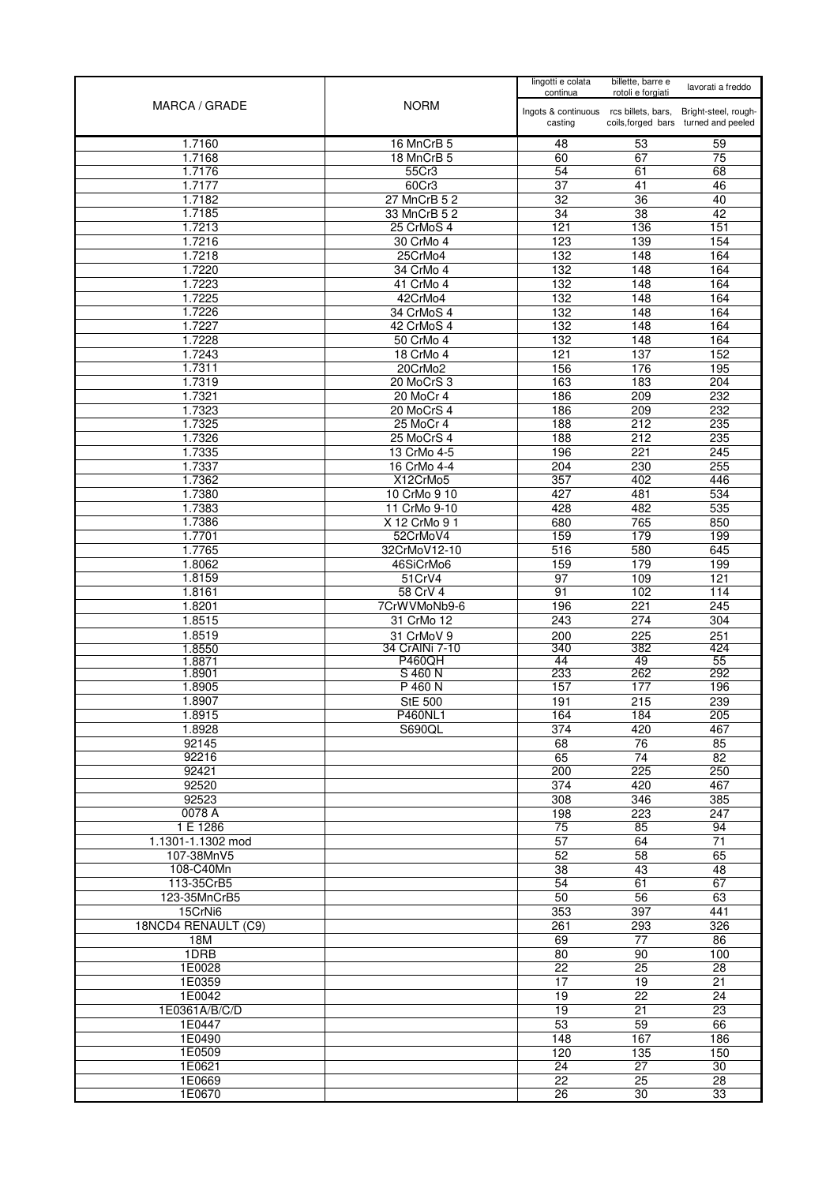| MARCA / GRADE           | <b>NORM</b>              | lingotti e colata<br>continua          | billette, barre e<br>rotoli e forgiati | lavorati a freddo                    |
|-------------------------|--------------------------|----------------------------------------|----------------------------------------|--------------------------------------|
|                         |                          | Ingots & continuous rcs billets, bars, |                                        | Bright-steel, rough-                 |
|                         |                          | casting                                |                                        | coils, forged bars turned and peeled |
| 1.7160<br>1.7168        | 16 MnCrB 5<br>18 MnCrB 5 | 48<br>60                               | 53<br>67                               | 59<br>75                             |
| 1.7176                  | 55Cr3                    | 54                                     | 61                                     | 68                                   |
| 1.7177                  | 60Cr3                    | $\overline{37}$                        | 41                                     | 46                                   |
| 1.7182                  | 27 MnCrB 5 2             | 32                                     | 36                                     | 40                                   |
| 1.7185                  | 33 MnCrB 5 2             | 34                                     | 38                                     | 42                                   |
| 1.7213                  | 25 CrMoS 4               | 121                                    | 136                                    | 151                                  |
| 1.7216                  | 30 CrMo 4                | 123                                    | 139                                    | 154                                  |
| 1.7218<br>1.7220        | 25CrMo4<br>34 CrMo 4     | 132<br>132                             | 148<br>148                             | 164<br>164                           |
| 1.7223                  | 41 CrMo 4                | 132                                    | 148                                    | 164                                  |
| 1.7225                  | 42CrMo4                  | 132                                    | 148                                    | 164                                  |
| 1.7226                  | 34 CrMoS 4               | 132                                    | 148                                    | 164                                  |
| 1.7227                  | 42 CrMoS 4               | 132                                    | 148                                    | 164                                  |
| 1.7228                  | 50 CrMo 4                | 132                                    | 148                                    | 164                                  |
| 1.7243<br>1.7311        | 18 CrMo 4<br>20CrMo2     | 121<br>156                             | 137<br>176                             | 152<br>195                           |
| 1.7319                  | 20 MoCrS 3               | 163                                    | 183                                    | 204                                  |
| 1.7321                  | 20 MoCr 4                | 186                                    | 209                                    | 232                                  |
| 1.7323                  | 20 MoCrS 4               | 186                                    | 209                                    | 232                                  |
| 1.7325                  | 25 MoCr 4                | 188                                    | 212                                    | 235                                  |
| 1.7326                  | 25 MoCrS 4               | 188                                    | 212                                    | 235                                  |
| 1.7335                  | 13 CrMo 4-5              | 196                                    | 221                                    | 245                                  |
| 1.7337<br>1.7362        | 16 CrMo 4-4<br>X12CrMo5  | 204<br>357                             | 230<br>402                             | 255<br>446                           |
| 1.7380                  | 10 CrMo 9 10             | 427                                    | 481                                    | 534                                  |
| 1.7383                  | 11 CrMo 9-10             | 428                                    | 482                                    | 535                                  |
| 1.7386                  | X 12 CrMo 9 1            | 680                                    | 765                                    | 850                                  |
| 1.7701                  | 52CrMoV4                 | 159                                    | 179                                    | 199                                  |
| 1.7765                  | 32CrMoV12-10             | 516                                    | 580                                    | 645                                  |
| 1.8062                  | 46SiCrMo6                | 159                                    | 179                                    | 199<br>121                           |
| 1.8159<br>1.8161        | 51CrV4<br>58 CrV 4       | 97<br>91                               | 109<br>102                             | 114                                  |
| 1.8201                  | 7CrWVMoNb9-6             | 196                                    | 221                                    | $\overline{245}$                     |
| 1.8515                  | 31 CrMo 12               | 243                                    | 274                                    | 304                                  |
| 1.8519                  | 31 CrMoV 9               | 200                                    | 225                                    | 251                                  |
| 1.8550                  | 34 CrAINi 7-10           | 340                                    | 382                                    | 424                                  |
| 1.8871<br>1.8901        | <b>P460QH</b><br>S 460 N | 44<br>233                              | 49<br>262                              | 55<br>292                            |
| 1.8905                  | P 460 N                  | 157                                    | 177                                    | 196                                  |
| 1.8907                  | <b>StE 500</b>           | 191                                    | 215                                    | 239                                  |
| 1.8915                  | <b>P460NL1</b>           | 164                                    | 184                                    | 205                                  |
| 1.8928                  | S690QL                   | 374                                    | 420                                    | 467                                  |
| 92145                   |                          | 68<br>65                               | 76<br>74                               | 85<br>82                             |
| 92216<br>92421          |                          | 200                                    | $\overline{225}$                       | 250                                  |
| 92520                   |                          | 374                                    | 420                                    | 467                                  |
| 92523                   |                          | 308                                    | 346                                    | 385                                  |
| 0078 A                  |                          | 198                                    | 223                                    | 247                                  |
| 1 E 1286                |                          | 75                                     | 85                                     | 94                                   |
| 1.1301-1.1302 mod       |                          | 57                                     | 64                                     | 71                                   |
| 107-38MnV5<br>108-C40Mn |                          | 52<br>$\overline{38}$                  | 58<br>43                               | 65<br>48                             |
| 113-35CrB5              |                          | 54                                     | 61                                     | 67                                   |
| 123-35MnCrB5            |                          | 50                                     | 56                                     | 63                                   |
| 15CrNi6                 |                          | 353                                    | 397                                    | 441                                  |
| 18NCD4 RENAULT (C9)     |                          | 261                                    | 293                                    | 326                                  |
| 18M                     |                          | 69                                     | 77                                     | 86                                   |
| 1DRB                    |                          | 80                                     | 90                                     | 100                                  |
| 1E0028<br>1E0359        |                          | $\overline{22}$<br>17                  | 25<br>19                               | $\overline{28}$<br>21                |
| 1E0042                  |                          | 19                                     | 22                                     | 24                                   |
| 1E0361A/B/C/D           |                          | 19                                     | 21                                     | 23                                   |
| 1E0447                  |                          | 53                                     | 59                                     | 66                                   |
| 1E0490                  |                          | 148                                    | 167                                    | 186                                  |
| 1E0509                  |                          | 120                                    | 135                                    | 150                                  |
| 1E0621                  |                          | 24                                     | $\overline{27}$                        | 30                                   |
| 1E0669<br>1E0670        |                          | $\overline{22}$<br>26                  | 25<br>30                               | $\overline{28}$<br>33                |
|                         |                          |                                        |                                        |                                      |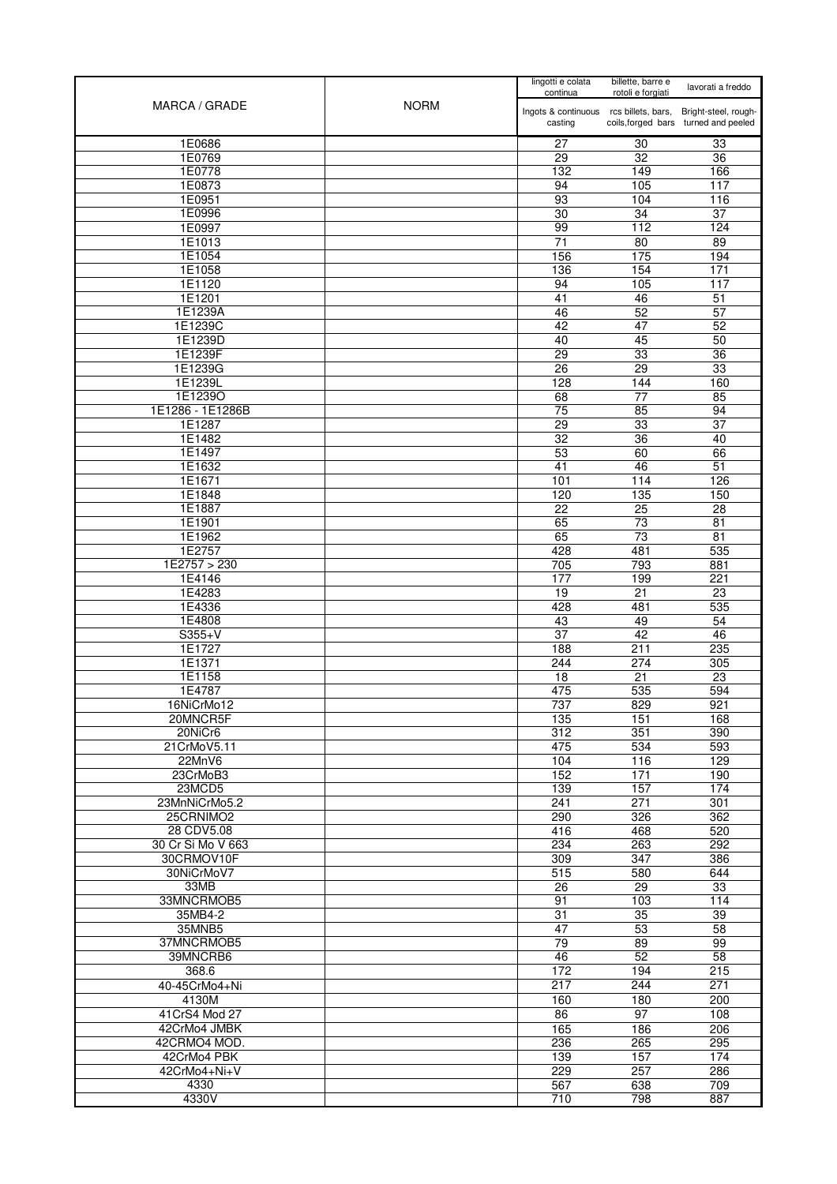| MARCA / GRADE           | <b>NORM</b> | lingotti e colata<br>continua                                          | billette, barre e<br>rotoli e forgiati | lavorati a freddo                    |
|-------------------------|-------------|------------------------------------------------------------------------|----------------------------------------|--------------------------------------|
|                         |             | Ingots & continuous rcs billets, bars, Bright-steel, rough-<br>casting |                                        | coils, forged bars turned and peeled |
| 1E0686                  |             | 27                                                                     | 30                                     | 33                                   |
| 1E0769                  |             | 29                                                                     | 32                                     | 36                                   |
| 1E0778                  |             | 132                                                                    | 149                                    | 166                                  |
| 1E0873                  |             | 94                                                                     | 105                                    | 117                                  |
| 1E0951                  |             | 93                                                                     | 104                                    | 116                                  |
| 1E0996                  |             | 30                                                                     | 34                                     | $\overline{37}$                      |
| 1E0997                  |             | 99                                                                     | 112                                    | 124                                  |
| 1E1013<br>1E1054        |             | 71<br>156                                                              | 80<br>175                              | 89<br>194                            |
| 1E1058                  |             | 136                                                                    | 154                                    | $\frac{1}{171}$                      |
| 1E1120                  |             | 94                                                                     | 105                                    | 117                                  |
| 1E1201                  |             | 41                                                                     | 46                                     | 51                                   |
| 1E1239A                 |             | 46                                                                     | 52                                     | 57                                   |
| 1E1239C                 |             | 42                                                                     | 47                                     | 52                                   |
| 1E1239D                 |             | 40                                                                     | 45                                     | 50                                   |
| 1E1239F<br>1E1239G      |             | $\overline{29}$<br>26                                                  | 33<br>$\overline{29}$                  | $\overline{36}$<br>33                |
| 1E1239L                 |             | 128                                                                    | 144                                    | 160                                  |
| 1E1239O                 |             | 68                                                                     | $\overline{77}$                        | 85                                   |
| 1E1286 - 1E1286B        |             | 75                                                                     | 85                                     | 94                                   |
| 1E1287                  |             | 29                                                                     | 33                                     | 37                                   |
| 1E1482                  |             | $\overline{32}$                                                        | $\overline{36}$                        | 40                                   |
| 1E1497                  |             | 53                                                                     | 60                                     | 66                                   |
| 1E1632<br>1E1671        |             | 41<br>101                                                              | 46<br>114                              | 51<br>126                            |
| 1E1848                  |             | 120                                                                    | 135                                    | 150                                  |
| 1E1887                  |             | 22                                                                     | $\overline{25}$                        | 28                                   |
| 1E1901                  |             | 65                                                                     | 73                                     | $\overline{81}$                      |
| 1E1962                  |             | 65                                                                     | $\overline{73}$                        | $\overline{81}$                      |
| 1E2757                  |             | 428                                                                    | 481                                    | 535                                  |
| 1E2757 > 230            |             | 705                                                                    | 793                                    | 881                                  |
| 1E4146<br>1E4283        |             | 177<br>19                                                              | 199<br>21                              | 221<br>23                            |
| 1E4336                  |             | 428                                                                    | 481                                    | 535                                  |
| 1E4808                  |             | 43                                                                     | 49                                     | 54                                   |
| $S355+V$                |             | 37                                                                     | 42                                     | 46                                   |
| 1E1727                  |             | 188                                                                    | 211                                    | 235                                  |
| 1E1371                  |             | 244                                                                    | 274                                    | 305                                  |
| 1E1158<br>1E4787        |             | 18<br>475                                                              | 21<br>535                              | 23<br>594                            |
| 16NiCrMo12              |             | 737                                                                    | 829                                    | 921                                  |
| 20MNCR5F                |             | 135                                                                    | 151                                    | 168                                  |
| 20NiCr6                 |             | 312                                                                    | 351                                    | 390                                  |
| 21CrMoV5.11             |             | 475                                                                    | 534                                    | 593                                  |
| 22MnV6                  |             | 104                                                                    | 116                                    | 129                                  |
| 23CrMoB3<br>23MCD5      |             | 152                                                                    | 171                                    | 190                                  |
| 23MnNiCrMo5.2           |             | 139<br>241                                                             | 157<br>271                             | 174<br>301                           |
| 25CRNIMO2               |             | 290                                                                    | 326                                    | 362                                  |
| 28 CDV5.08              |             | 416                                                                    | 468                                    | 520                                  |
| 30 Cr Si Mo V 663       |             | 234                                                                    | 263                                    | 292                                  |
| 30CRMOV10F              |             | 309                                                                    | $\overline{347}$                       | 386                                  |
| 30NiCrMoV7              |             | 515                                                                    | 580                                    | 644                                  |
| 33MB<br>33MNCRMOB5      |             | 26<br>91                                                               | $\overline{29}$<br>103                 | 33<br>114                            |
| 35MB4-2                 |             | 31                                                                     | 35                                     | 39                                   |
| 35MNB5                  |             | 47                                                                     | 53                                     | 58                                   |
| 37MNCRMOB5              |             | 79                                                                     | 89                                     | 99                                   |
| 39MNCRB6                |             | 46                                                                     | 52                                     | 58                                   |
| 368.6                   |             | 172                                                                    | 194                                    | 215                                  |
| 40-45CrMo4+Ni           |             | 217                                                                    | 244                                    | 271                                  |
| 4130M<br>41 CrS4 Mod 27 |             | 160<br>86                                                              | 180<br>97                              | 200<br>108                           |
| 42CrMo4 JMBK            |             | 165                                                                    | 186                                    | 206                                  |
| 42CRMO4 MOD.            |             | 236                                                                    | 265                                    | 295                                  |
| 42CrMo4 PBK             |             | 139                                                                    | 157                                    | 174                                  |
| 42CrMo4+Ni+V            |             | 229                                                                    | 257                                    | 286                                  |
| 4330                    |             | 567                                                                    | 638                                    | 709                                  |
| 4330V                   |             | 710                                                                    | 798                                    | 887                                  |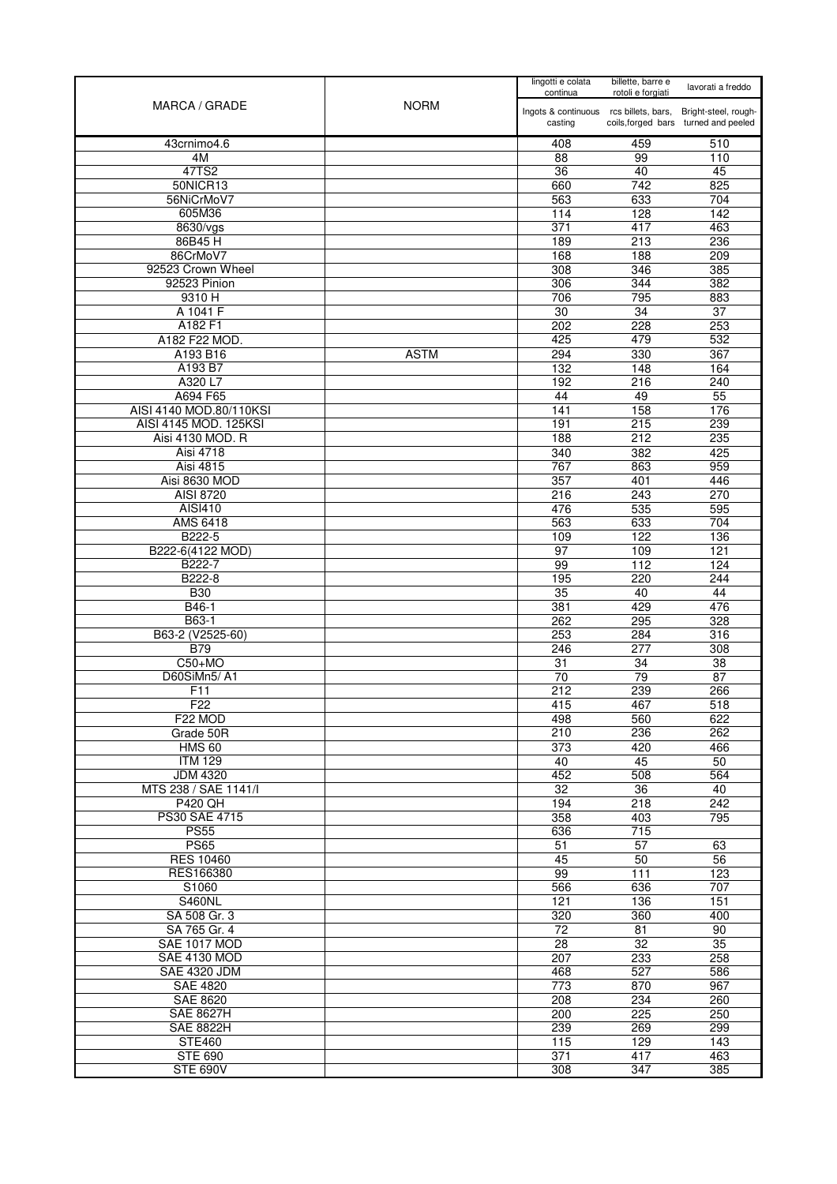| MARCA / GRADE                   | <b>NORM</b> | lingotti e colata<br>continua          | billette, barre e<br>rotoli e forgiati | lavorati a freddo                    |
|---------------------------------|-------------|----------------------------------------|----------------------------------------|--------------------------------------|
|                                 |             | Ingots & continuous rcs billets, bars, |                                        | Bright-steel, rough-                 |
|                                 |             | casting                                |                                        | coils, forged bars turned and peeled |
| 43crnimo4.6                     |             | 408                                    | 459                                    | 510                                  |
| 4M                              |             | 88                                     | 99                                     | 110                                  |
| 47TS2                           |             | 36                                     | 40                                     | 45                                   |
| 50NICR13                        |             | 660                                    | 742                                    | 825                                  |
| 56NiCrMoV7<br>605M36            |             | 563                                    | 633                                    | 704                                  |
| 8630/vgs                        |             | 114<br>$\overline{371}$                | 128<br>417                             | 142<br>463                           |
| 86B45H                          |             | 189                                    | 213                                    | 236                                  |
| 86CrMoV7                        |             | 168                                    | 188                                    | 209                                  |
| 92523 Crown Wheel               |             | 308                                    | 346                                    | 385                                  |
| 92523 Pinion                    |             | 306                                    | 344                                    | 382                                  |
| 9310 H                          |             | 706                                    | 795                                    | 883                                  |
| A 1041 F                        |             | 30                                     | $\overline{34}$                        | $\overline{37}$                      |
| A182 F1                         |             | 202                                    | 228                                    | 253                                  |
| A182 F22 MOD.                   |             | 425                                    | 479                                    | 532                                  |
| A193 B16                        | <b>ASTM</b> | 294                                    | 330                                    | 367                                  |
| A193 B7                         |             | 132                                    | 148                                    | 164                                  |
| A320 L7<br>A694 F65             |             | 192<br>44                              | 216<br>49                              | 240<br>$\overline{55}$               |
| AISI 4140 MOD.80/110KSI         |             | 141                                    | 158                                    | 176                                  |
| AISI 4145 MOD. 125KSI           |             | 191                                    | 215                                    | 239                                  |
| Aisi 4130 MOD. R                |             | 188                                    | 212                                    | 235                                  |
| Aisi 4718                       |             | 340                                    | 382                                    | 425                                  |
| <b>Aisi 4815</b>                |             | 767                                    | 863                                    | 959                                  |
| Aisi 8630 MOD                   |             | 357                                    | 401                                    | 446                                  |
| AISI 8720                       |             | 216                                    | 243                                    | 270                                  |
| <b>AISI410</b>                  |             | 476                                    | 535                                    | 595                                  |
| <b>AMS 6418</b>                 |             | 563                                    | 633                                    | 704                                  |
| B222-5                          |             | 109                                    | 122                                    | 136                                  |
| B222-6(4122 MOD)                |             | 97                                     | 109                                    | 121                                  |
| B222-7                          |             | 99                                     | 112                                    | 124                                  |
| B222-8<br><b>B30</b>            |             | 195<br>35                              | 220<br>40                              | 244<br>44                            |
| B46-1                           |             | 381                                    | 429                                    | 476                                  |
| B63-1                           |             | 262                                    | 295                                    | 328                                  |
| B63-2 (V2525-60)                |             | 253                                    | 284                                    | 316                                  |
| <b>B79</b>                      |             | 246                                    | 277                                    | 308                                  |
| $C50+MO$                        |             | 31                                     | 34                                     | 38                                   |
| D60SiMn5/A1                     |             | 70                                     | 79                                     | 87                                   |
| F <sub>11</sub>                 |             | 212                                    | 239                                    | 266                                  |
| F22                             |             | 415                                    | 467                                    | 518                                  |
| F22 MOD                         |             | 498                                    | 560                                    | 622                                  |
| Grade 50R                       |             | 210                                    | 236                                    | 262                                  |
| <b>HMS 60</b><br><b>ITM 129</b> |             | 373<br>40                              | 420<br>45                              | 466<br>50                            |
| <b>JDM 4320</b>                 |             | 452                                    | 508                                    | 564                                  |
| MTS 238 / SAE 1141/I            |             | 32                                     | 36                                     | 40                                   |
| <b>P420 QH</b>                  |             | 194                                    | 218                                    | 242                                  |
| <b>PS30 SAE 4715</b>            |             | 358                                    | 403                                    | 795                                  |
| <b>PS55</b>                     |             | 636                                    | 715                                    |                                      |
| <b>PS65</b>                     |             | 51                                     | 57                                     | 63                                   |
| <b>RES 10460</b>                |             | 45                                     | 50                                     | $\overline{56}$                      |
| RES166380                       |             | 99                                     | 111                                    | 123                                  |
| S1060                           |             | 566                                    | 636                                    | 707                                  |
| <b>S460NL</b><br>SA 508 Gr. 3   |             | 121<br>320                             | 136<br>360                             | 151<br>400                           |
| SA 765 Gr. 4                    |             | 72                                     | 81                                     | 90                                   |
| SAE 1017 MOD                    |             | 28                                     | $\overline{32}$                        | $\overline{35}$                      |
| <b>SAE 4130 MOD</b>             |             | 207                                    | 233                                    | 258                                  |
| <b>SAE 4320 JDM</b>             |             | 468                                    | 527                                    | 586                                  |
| <b>SAE 4820</b>                 |             | $\overline{773}$                       | 870                                    | 967                                  |
| <b>SAE 8620</b>                 |             | 208                                    | 234                                    | 260                                  |
| <b>SAE 8627H</b>                |             | 200                                    | 225                                    | 250                                  |
| <b>SAE 8822H</b>                |             | 239                                    | 269                                    | 299                                  |
| <b>STE460</b>                   |             | 115                                    | 129                                    | 143                                  |
| <b>STE 690</b>                  |             | 371                                    | 417                                    | 463                                  |
| <b>STE 690V</b>                 |             | 308                                    | 347                                    | 385                                  |